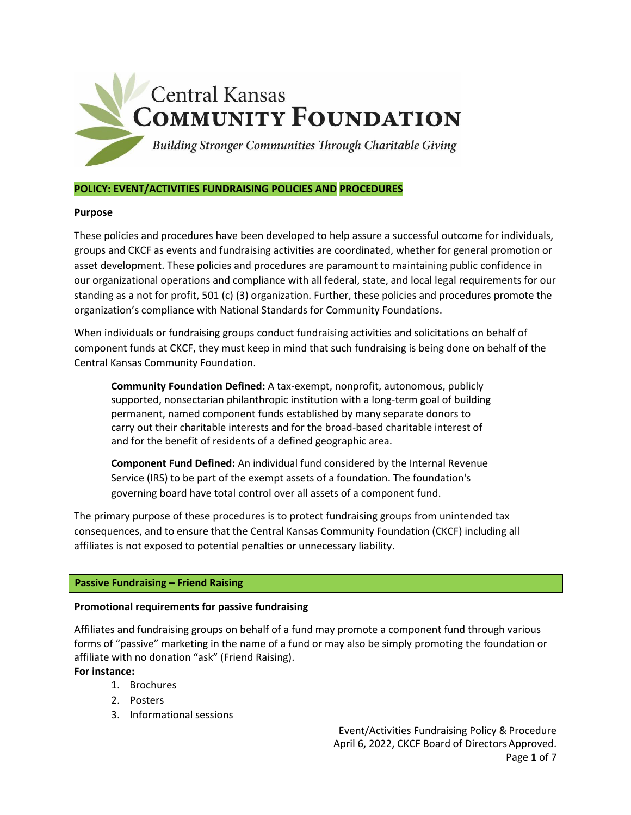

## **POLICY: EVENT/ACTIVITIES FUNDRAISING POLICIES AND PROCEDURES**

## **Purpose**

These policies and procedures have been developed to help assure a successful outcome for individuals, groups and CKCF as events and fundraising activities are coordinated, whether for general promotion or asset development. These policies and procedures are paramount to maintaining public confidence in our organizational operations and compliance with all federal, state, and local legal requirements for our standing as a not for profit, 501 (c) (3) organization. Further, these policies and procedures promote the organization's compliance with National Standards for Community Foundations.

When individuals or fundraising groups conduct fundraising activities and solicitations on behalf of component funds at CKCF, they must keep in mind that such fundraising is being done on behalf of the Central Kansas Community Foundation.

**Community Foundation Defined:** A tax-exempt, nonprofit, autonomous, publicly supported, nonsectarian philanthropic institution with a long-term goal of building permanent, named component funds established by many separate donors to carry out their charitable interests and for the broad-based charitable interest of and for the benefit of residents of a defined geographic area.

**Component Fund Defined:** An individual fund considered by the Internal Revenue Service (IRS) to be part of the exempt assets of a foundation. The foundation's governing board have total control over all assets of a component fund.

The primary purpose of these procedures is to protect fundraising groups from unintended tax consequences, and to ensure that the Central Kansas Community Foundation (CKCF) including all affiliates is not exposed to potential penalties or unnecessary liability.

## **Passive Fundraising – Friend Raising**

## **Promotional requirements for passive fundraising**

Affiliates and fundraising groups on behalf of a fund may promote a component fund through various forms of "passive" marketing in the name of a fund or may also be simply promoting the foundation or affiliate with no donation "ask" (Friend Raising).

**For instance:**

- 1. Brochures
- 2. Posters
- 3. Informational sessions

Event/Activities Fundraising Policy & Procedure April 6, 2022, CKCF Board of DirectorsApproved. Page **1** of 7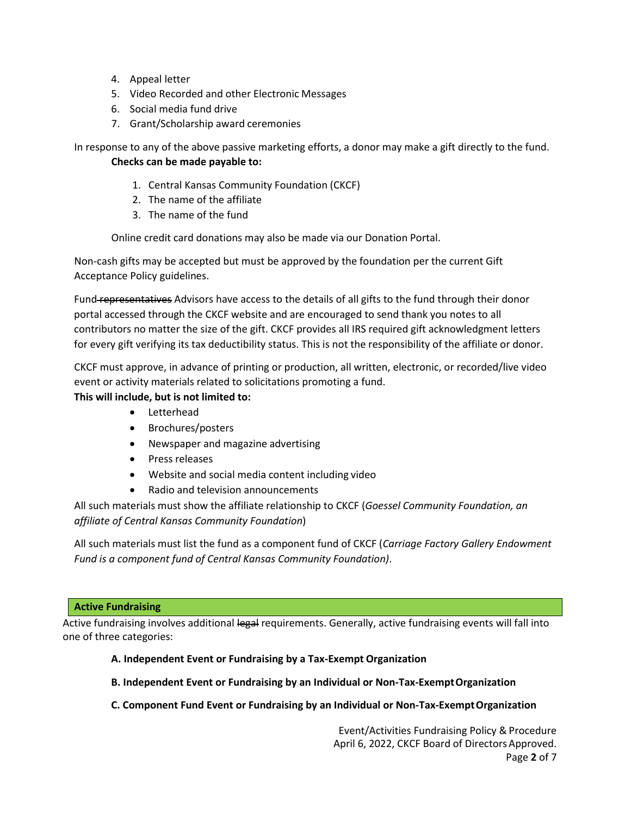- 4. Appeal letter
- 5. Video Recorded and other Electronic Messages
- 6. Social media fund drive
- 7. Grant/Scholarship award ceremonies

In response to any of the above passive marketing efforts, a donor may make a gift directly to the fund. **Checks can be made payable to:**

- 1. Central Kansas Community Foundation (CKCF)
- 2. The name of the affiliate
- 3. The name of the fund

Online credit card donations may also be made via our Donation Portal.

Non-cash gifts may be accepted but must be approved by the foundation per the current Gift Acceptance Policy guidelines.

Fund-representatives Advisors have access to the details of all gifts to the fund through their donor portal accessed through the CKCF website and are encouraged to send thank you notes to all contributors no matter the size of the gift. CKCF provides all IRS required gift acknowledgment letters for every gift verifying its tax deductibility status. This is not the responsibility of the affiliate or donor.

CKCF must approve, in advance of printing or production, all written, electronic, or recorded/live video event or activity materials related to solicitations promoting a fund.

**This will include, but is not limited to:**

- Letterhead
- Brochures/posters
- Newspaper and magazine advertising
- Press releases
- Website and social media content including video
- Radio and television announcements

All such materials must show the affiliate relationship to CKCF (*Goessel Community Foundation, an affiliate of Central Kansas Community Foundation*)

All such materials must list the fund as a component fund of CKCF (*Carriage Factory Gallery Endowment Fund is a component fund of Central Kansas Community Foundation)*.

## **Active Fundraising**

Active fundraising involves additional legal requirements. Generally, active fundraising events will fall into one of three categories:

# **A. Independent Event or Fundraising by a Tax-Exempt Organization**

- **B. Independent Event or Fundraising by an Individual or Non-Tax-ExemptOrganization**
- **C.** Component Fund Event or Fundraising by an Individual or Non-Tax-Exempt Organization

Event/Activities Fundraising Policy & Procedure April 6, 2022, CKCF Board of DirectorsApproved. Page **2** of 7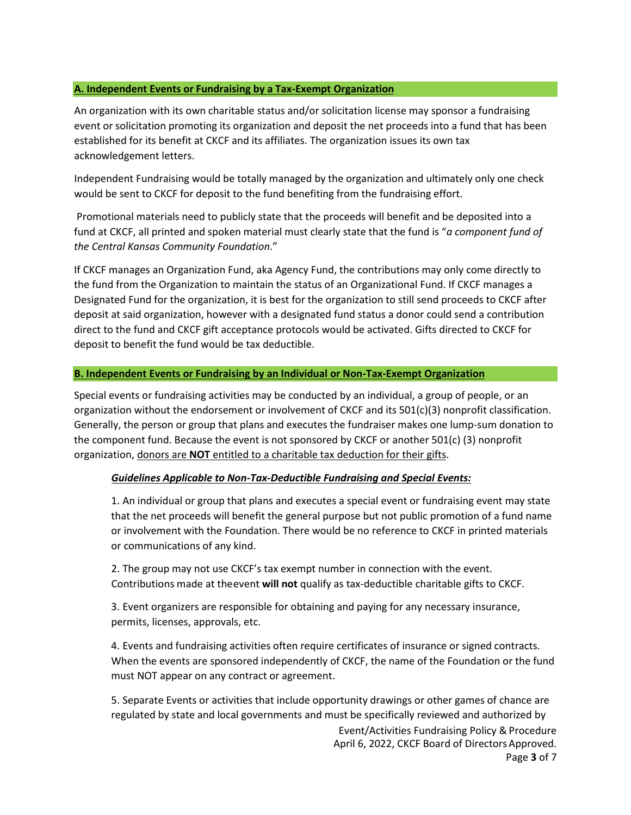#### **A. Independent Events or Fundraising by a Tax-Exempt Organization**

An organization with its own charitable status and/or solicitation license may sponsor a fundraising event or solicitation promoting its organization and deposit the net proceeds into a fund that has been established for its benefit at CKCF and its affiliates. The organization issues its own tax acknowledgement letters.

Independent Fundraising would be totally managed by the organization and ultimately only one check would be sent to CKCF for deposit to the fund benefiting from the fundraising effort.

Promotional materials need to publicly state that the proceeds will benefit and be deposited into a fund at CKCF, all printed and spoken material must clearly state that the fund is "*a component fund of the Central Kansas Community Foundation*."

If CKCF manages an Organization Fund, aka Agency Fund, the contributions may only come directly to the fund from the Organization to maintain the status of an Organizational Fund. If CKCF manages a Designated Fund for the organization, it is best for the organization to still send proceeds to CKCF after deposit at said organization, however with a designated fund status a donor could send a contribution direct to the fund and CKCF gift acceptance protocols would be activated. Gifts directed to CKCF for deposit to benefit the fund would be tax deductible.

#### **B. Independent Events or Fundraising by an Individual or Non-Tax-Exempt Organization**

Special events or fundraising activities may be conducted by an individual, a group of people, or an organization without the endorsement or involvement of CKCF and its 501(c)(3) nonprofit classification. Generally, the person or group that plans and executes the fundraiser makes one lump-sum donation to the component fund. Because the event is not sponsored by CKCF or another 501(c) (3) nonprofit organization, donors are **NOT** entitled to a charitable tax deduction for their gifts.

## *Guidelines Applicable to Non-Tax-Deductible Fundraising and Special Events:*

1. An individual or group that plans and executes a special event or fundraising event may state that the net proceeds will benefit the general purpose but not public promotion of a fund name or involvement with the Foundation. There would be no reference to CKCF in printed materials or communications of any kind.

2. The group may not use CKCF's tax exempt number in connection with the event. Contributions made at theevent **will not** qualify as tax-deductible charitable gifts to CKCF.

3. Event organizers are responsible for obtaining and paying for any necessary insurance, permits, licenses, approvals, etc.

4. Events and fundraising activities often require certificates of insurance or signed contracts. When the events are sponsored independently of CKCF, the name of the Foundation or the fund must NOT appear on any contract or agreement.

5. Separate Events or activities that include opportunity drawings or other games of chance are regulated by state and local governments and must be specifically reviewed and authorized by

> Event/Activities Fundraising Policy & Procedure April 6, 2022, CKCF Board of DirectorsApproved.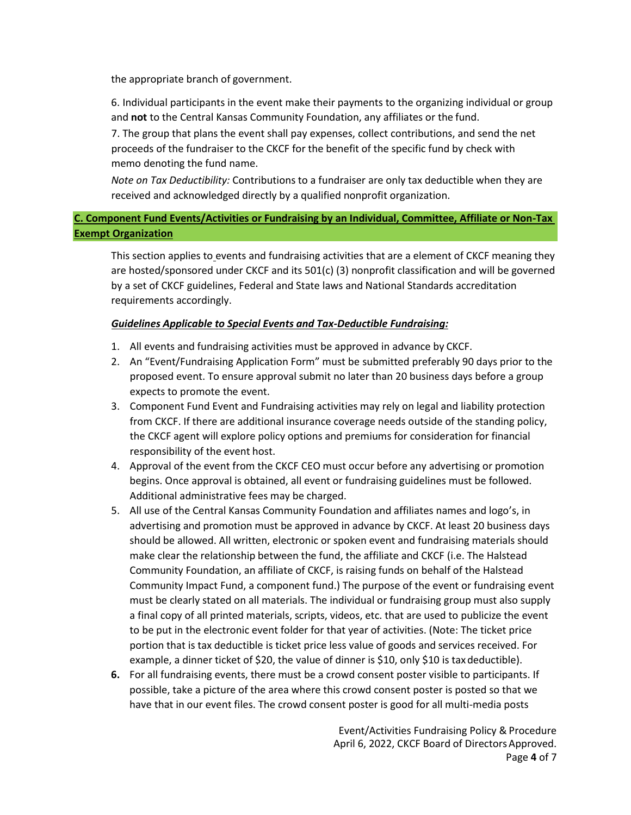the appropriate branch of government.

6. Individual participants in the event make their payments to the organizing individual or group and **not** to the Central Kansas Community Foundation, any affiliates or the fund.

7. The group that plans the event shall pay expenses, collect contributions, and send the net proceeds of the fundraiser to the CKCF for the benefit of the specific fund by check with memo denoting the fund name.

*Note on Tax Deductibility:* Contributions to a fundraiser are only tax deductible when they are received and acknowledged directly by a qualified nonprofit organization.

# **C. Component Fund Events/Activities or Fundraising by an Individual, Committee, Affiliate or Non-Tax Exempt Organization**

This section applies to events and fundraising activities that are a element of CKCF meaning they are hosted/sponsored under CKCF and its 501(c) (3) nonprofit classification and will be governed by a set of CKCF guidelines, Federal and State laws and National Standards accreditation requirements accordingly.

# *Guidelines Applicable to Special Events and Tax-Deductible Fundraising:*

- 1. All events and fundraising activities must be approved in advance by CKCF.
- 2. An "Event/Fundraising Application Form" must be submitted preferably 90 days prior to the proposed event. To ensure approval submit no later than 20 business days before a group expects to promote the event.
- 3. Component Fund Event and Fundraising activities may rely on legal and liability protection from CKCF. If there are additional insurance coverage needs outside of the standing policy, the CKCF agent will explore policy options and premiums for consideration for financial responsibility of the event host.
- 4. Approval of the event from the CKCF CEO must occur before any advertising or promotion begins. Once approval is obtained, all event or fundraising guidelines must be followed. Additional administrative fees may be charged.
- 5. All use of the Central Kansas Community Foundation and affiliates names and logo's, in advertising and promotion must be approved in advance by CKCF. At least 20 business days should be allowed. All written, electronic or spoken event and fundraising materials should make clear the relationship between the fund, the affiliate and CKCF (i.e. The Halstead Community Foundation, an affiliate of CKCF, is raising funds on behalf of the Halstead Community Impact Fund, a component fund.) The purpose of the event or fundraising event must be clearly stated on all materials. The individual or fundraising group must also supply a final copy of all printed materials, scripts, videos, etc. that are used to publicize the event to be put in the electronic event folder for that year of activities. (Note: The ticket price portion that is tax deductible is ticket price less value of goods and services received. For example, a dinner ticket of \$20, the value of dinner is \$10, only \$10 is taxdeductible).
- **6.** For all fundraising events, there must be a crowd consent poster visible to participants. If possible, take a picture of the area where this crowd consent poster is posted so that we have that in our event files. The crowd consent poster is good for all multi-media posts

Event/Activities Fundraising Policy & Procedure April 6, 2022, CKCF Board of DirectorsApproved. Page **4** of 7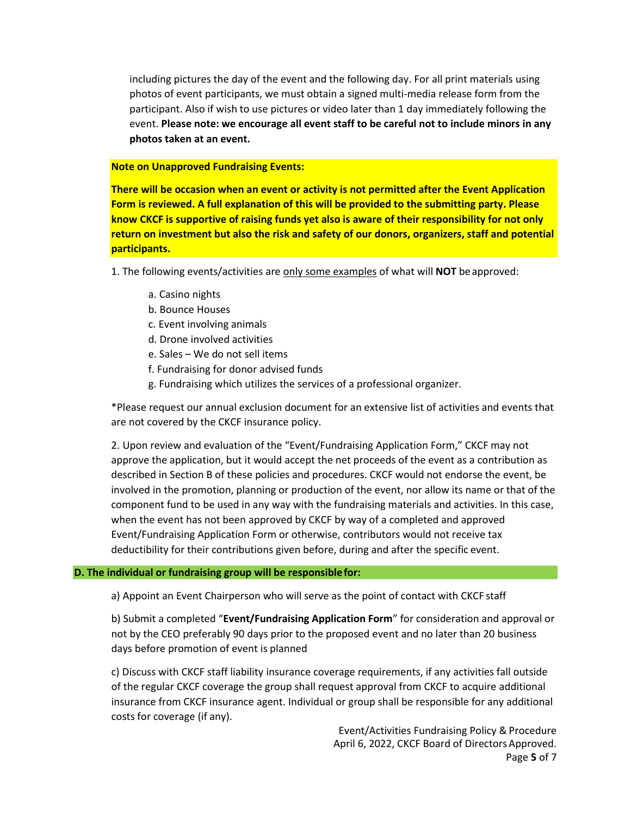including pictures the day of the event and the following day. For all print materials using photos of event participants, we must obtain a signed multi-media release form from the participant. Also if wish to use pictures or video later than 1 day immediately following the event. **Please note: we encourage all event staff to be careful not to include minors in any photos taken at an event.**

#### **Note on Unapproved Fundraising Events:**

**There will be occasion when an event or activity is not permitted after the Event Application Form is reviewed. A full explanation of this will be provided to the submitting party. Please know CKCF is supportive of raising funds yet also is aware of their responsibility for not only return on investment but also the risk and safety of our donors, organizers, staff and potential participants.**

1. The following events/activities are only some examples of what will **NOT** beapproved:

- a. Casino nights
- b. Bounce Houses
- c. Event involving animals
- d. Drone involved activities
- e. Sales We do not sell items
- f. Fundraising for donor advised funds
- g. Fundraising which utilizes the services of a professional organizer.

\*Please request our annual exclusion document for an extensive list of activities and events that are not covered by the CKCF insurance policy.

2. Upon review and evaluation of the "Event/Fundraising Application Form," CKCF may not approve the application, but it would accept the net proceeds of the event as a contribution as described in Section B of these policies and procedures. CKCF would not endorse the event, be involved in the promotion, planning or production of the event, nor allow its name or that of the component fund to be used in any way with the fundraising materials and activities. In this case, when the event has not been approved by CKCF by way of a completed and approved Event/Fundraising Application Form or otherwise, contributors would not receive tax deductibility for their contributions given before, during and after the specific event.

## **D. The individual or fundraising group will be responsiblefor:**

a) Appoint an Event Chairperson who will serve as the point of contact with CKCF staff

b) Submit a completed "**Event/Fundraising Application Form**" for consideration and approval or not by the CEO preferably 90 days prior to the proposed event and no later than 20 business days before promotion of event is planned

c) Discuss with CKCF staff liability insurance coverage requirements, if any activities fall outside of the regular CKCF coverage the group shall request approval from CKCF to acquire additional insurance from CKCF insurance agent. Individual or group shall be responsible for any additional costs for coverage (if any).

> Event/Activities Fundraising Policy & Procedure April 6, 2022, CKCF Board of DirectorsApproved. Page **5** of 7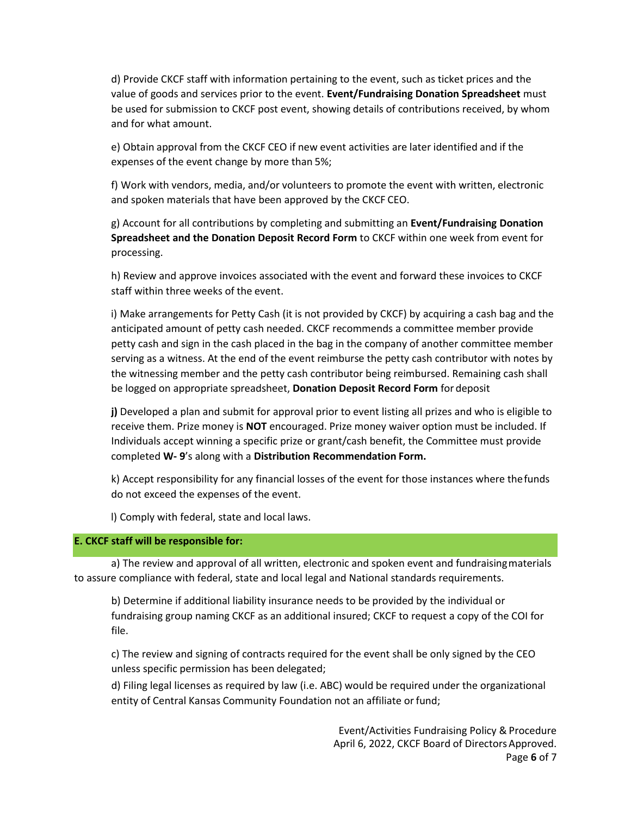d) Provide CKCF staff with information pertaining to the event, such as ticket prices and the value of goods and services prior to the event. **Event/Fundraising Donation Spreadsheet** must be used for submission to CKCF post event, showing details of contributions received, by whom and for what amount.

e) Obtain approval from the CKCF CEO if new event activities are later identified and if the expenses of the event change by more than 5%;

f) Work with vendors, media, and/or volunteers to promote the event with written, electronic and spoken materials that have been approved by the CKCF CEO.

g) Account for all contributions by completing and submitting an **Event/Fundraising Donation Spreadsheet and the Donation Deposit Record Form** to CKCF within one week from event for processing.

h) Review and approve invoices associated with the event and forward these invoices to CKCF staff within three weeks of the event.

i) Make arrangements for Petty Cash (it is not provided by CKCF) by acquiring a cash bag and the anticipated amount of petty cash needed. CKCF recommends a committee member provide petty cash and sign in the cash placed in the bag in the company of another committee member serving as a witness. At the end of the event reimburse the petty cash contributor with notes by the witnessing member and the petty cash contributor being reimbursed. Remaining cash shall be logged on appropriate spreadsheet, **Donation Deposit Record Form** for deposit

**j)** Developed a plan and submit for approval prior to event listing all prizes and who is eligible to receive them. Prize money is **NOT** encouraged. Prize money waiver option must be included. If Individuals accept winning a specific prize or grant/cash benefit, the Committee must provide completed **W- 9**'s along with a **Distribution Recommendation Form.**

k) Accept responsibility for any financial losses of the event for those instances where thefunds do not exceed the expenses of the event.

l) Comply with federal, state and local laws.

## **E. CKCF staff will be responsible for:**

a) The review and approval of all written, electronic and spoken event and fundraisingmaterials to assure compliance with federal, state and local legal and National standards requirements.

b) Determine if additional liability insurance needs to be provided by the individual or fundraising group naming CKCF as an additional insured; CKCF to request a copy of the COI for file.

c) The review and signing of contracts required for the event shall be only signed by the CEO unless specific permission has been delegated;

d) Filing legal licenses as required by law (i.e. ABC) would be required under the organizational entity of Central Kansas Community Foundation not an affiliate or fund;

> Event/Activities Fundraising Policy & Procedure April 6, 2022, CKCF Board of DirectorsApproved. Page **6** of 7